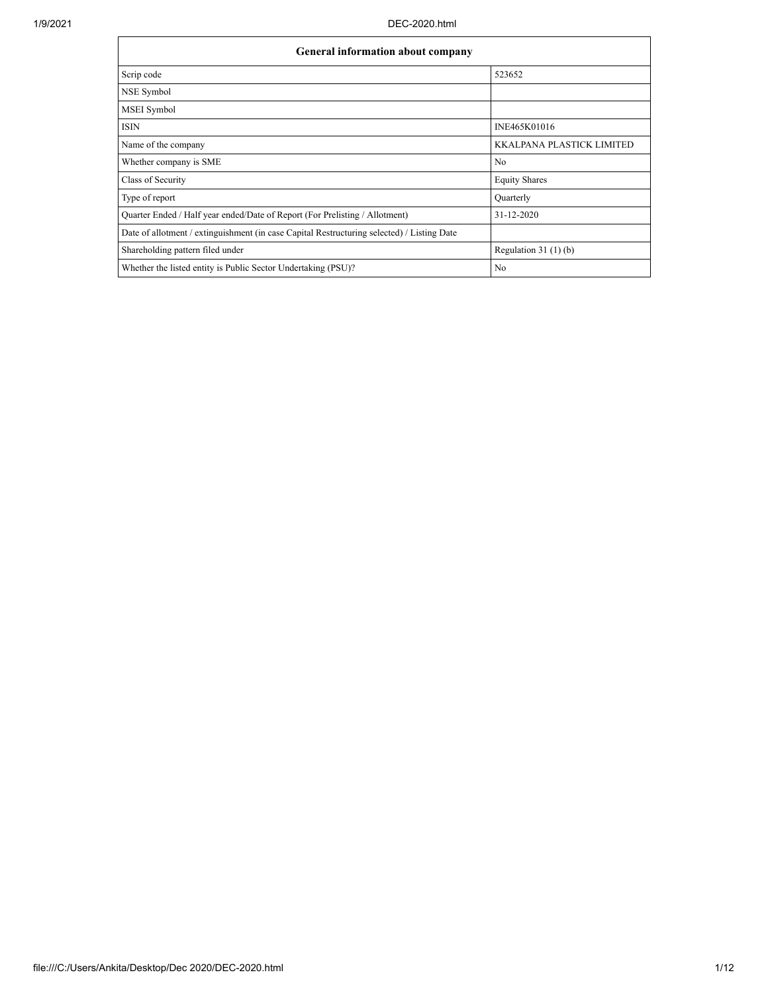| <b>General information about company</b>                                                   |                                  |  |  |  |  |
|--------------------------------------------------------------------------------------------|----------------------------------|--|--|--|--|
| Scrip code                                                                                 | 523652                           |  |  |  |  |
| NSE Symbol                                                                                 |                                  |  |  |  |  |
| MSEI Symbol                                                                                |                                  |  |  |  |  |
| <b>ISIN</b>                                                                                | INE465K01016                     |  |  |  |  |
| Name of the company                                                                        | <b>KKALPANA PLASTICK LIMITED</b> |  |  |  |  |
| Whether company is SME                                                                     | N <sub>0</sub>                   |  |  |  |  |
| Class of Security                                                                          | <b>Equity Shares</b>             |  |  |  |  |
| Type of report                                                                             | Quarterly                        |  |  |  |  |
| Quarter Ended / Half year ended/Date of Report (For Prelisting / Allotment)                | $31 - 12 - 2020$                 |  |  |  |  |
| Date of allotment / extinguishment (in case Capital Restructuring selected) / Listing Date |                                  |  |  |  |  |
| Shareholding pattern filed under                                                           | Regulation $31(1)(b)$            |  |  |  |  |
| Whether the listed entity is Public Sector Undertaking (PSU)?                              | N <sub>o</sub>                   |  |  |  |  |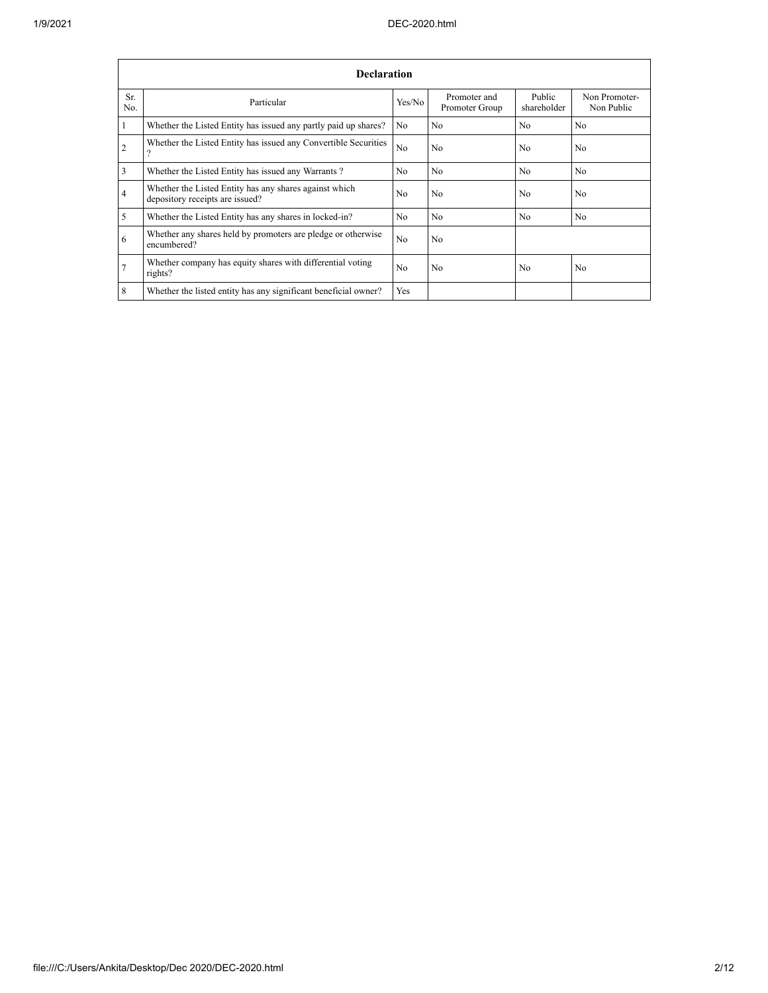|                | <b>Declaration</b>                                                                        |                |                                |                       |                             |  |  |
|----------------|-------------------------------------------------------------------------------------------|----------------|--------------------------------|-----------------------|-----------------------------|--|--|
| Sr.<br>No.     | Particular                                                                                | Yes/No         | Promoter and<br>Promoter Group | Public<br>shareholder | Non Promoter-<br>Non Public |  |  |
| 1              | Whether the Listed Entity has issued any partly paid up shares?                           | No.            | N <sub>o</sub>                 | No.                   | N <sub>o</sub>              |  |  |
| $\overline{2}$ | Whether the Listed Entity has issued any Convertible Securities<br>$\Omega$               | No             | No                             | No.                   | No.                         |  |  |
| $\overline{3}$ | Whether the Listed Entity has issued any Warrants?                                        | N <sub>o</sub> | N <sub>o</sub>                 | N <sub>o</sub>        | No                          |  |  |
| $\overline{4}$ | Whether the Listed Entity has any shares against which<br>depository receipts are issued? | No             | N <sub>o</sub>                 | N <sub>0</sub>        | N <sub>o</sub>              |  |  |
| 5              | Whether the Listed Entity has any shares in locked-in?                                    | N <sub>0</sub> | N <sub>o</sub>                 | No.                   | No                          |  |  |
| 6              | Whether any shares held by promoters are pledge or otherwise<br>encumbered?               | N <sub>0</sub> | N <sub>0</sub>                 |                       |                             |  |  |
| $\overline{7}$ | Whether company has equity shares with differential voting<br>rights?                     | N <sub>0</sub> | N <sub>o</sub>                 | N <sub>0</sub>        | N <sub>0</sub>              |  |  |
| 8              | Whether the listed entity has any significant beneficial owner?                           | <b>Yes</b>     |                                |                       |                             |  |  |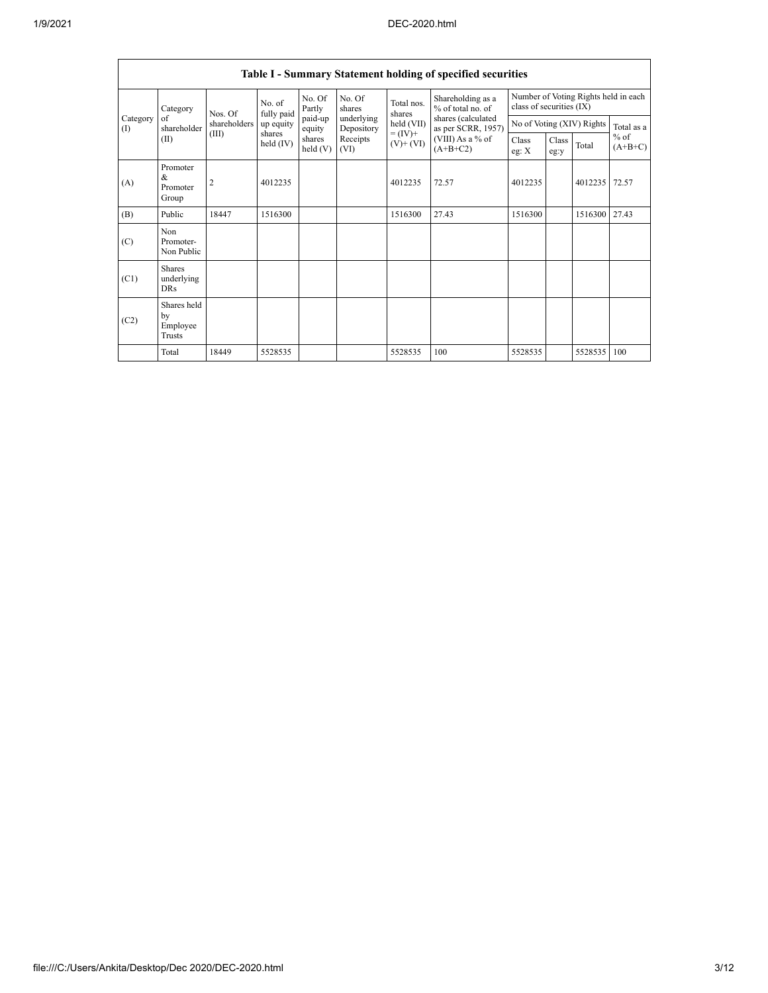|                   | Table I - Summary Statement holding of specified securities |                |                       |                   |                                                                                    |                                              |                                                                            |                |               |                           |                                   |
|-------------------|-------------------------------------------------------------|----------------|-----------------------|-------------------|------------------------------------------------------------------------------------|----------------------------------------------|----------------------------------------------------------------------------|----------------|---------------|---------------------------|-----------------------------------|
|                   | Category<br>of<br>shareholder<br>(II)                       | Nos. Of        | No. of<br>fully paid  | No. Of<br>Partly  | No. Of<br>Shareholding as a<br>Total nos.<br>% of total no. of<br>shares<br>shares |                                              | Number of Voting Rights held in each<br>class of securities (IX)           |                |               |                           |                                   |
| Category<br>$($ I |                                                             | shareholders   | up equity             | paid-up<br>equity | underlying<br>Depository                                                           | $held$ (VII)<br>$= (IV) +$<br>$(V)$ + $(VI)$ | shares (calculated<br>as per SCRR, 1957)<br>(VIII) As a % of<br>$(A+B+C2)$ |                |               | No of Voting (XIV) Rights | Total as a<br>$%$ of<br>$(A+B+C)$ |
|                   |                                                             | (III)          | shares<br>held $(IV)$ | shares<br>held(V) | Receipts<br>(VI)                                                                   |                                              |                                                                            | Class<br>eg: X | Class<br>eg:y | Total                     |                                   |
| (A)               | Promoter<br>$\&$<br>Promoter<br>Group                       | $\overline{2}$ | 4012235               |                   |                                                                                    | 4012235                                      | 72.57                                                                      | 4012235        |               | 4012235 72.57             |                                   |
| (B)               | Public                                                      | 18447          | 1516300               |                   |                                                                                    | 1516300                                      | 27.43                                                                      | 1516300        |               | 1516300                   | 27.43                             |
| (C)               | Non<br>Promoter-<br>Non Public                              |                |                       |                   |                                                                                    |                                              |                                                                            |                |               |                           |                                   |
| (C1)              | <b>Shares</b><br>underlying<br><b>DRs</b>                   |                |                       |                   |                                                                                    |                                              |                                                                            |                |               |                           |                                   |
| (C2)              | Shares held<br>by<br>Employee<br>Trusts                     |                |                       |                   |                                                                                    |                                              |                                                                            |                |               |                           |                                   |
|                   | Total                                                       | 18449          | 5528535               |                   |                                                                                    | 5528535                                      | 100                                                                        | 5528535        |               | 5528535                   | 100                               |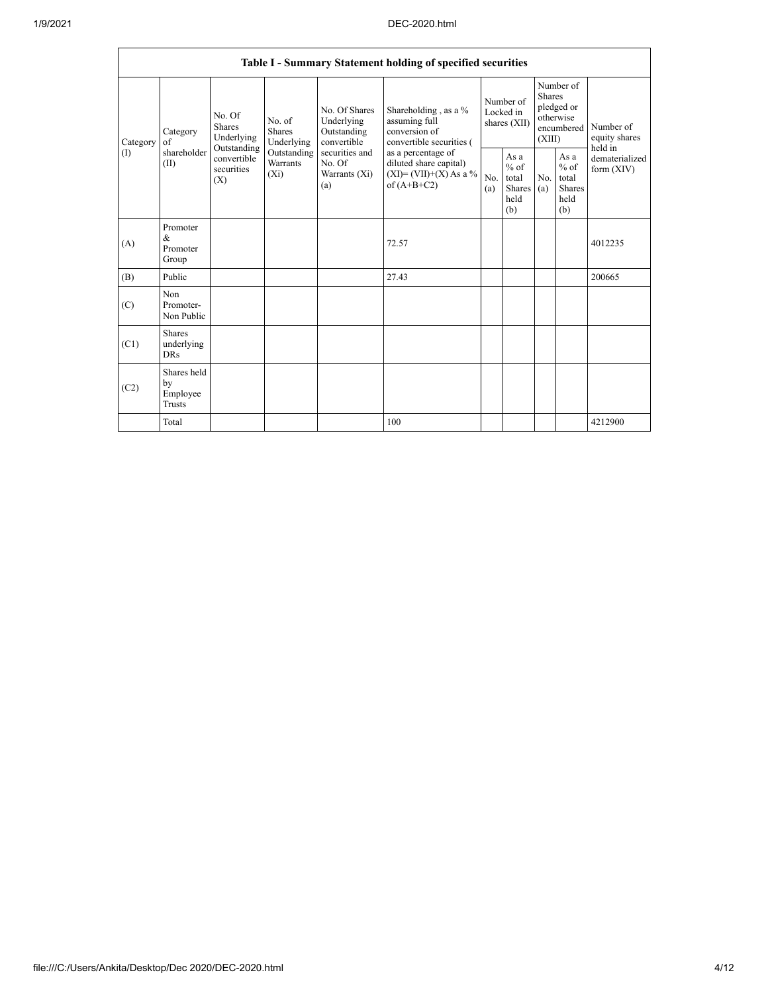|          |                                                |                                                 |                                       |                                                           | Table I - Summary Statement holding of specified securities                                |                                        |                                                  |                                                                               |                                                  |                                       |
|----------|------------------------------------------------|-------------------------------------------------|---------------------------------------|-----------------------------------------------------------|--------------------------------------------------------------------------------------------|----------------------------------------|--------------------------------------------------|-------------------------------------------------------------------------------|--------------------------------------------------|---------------------------------------|
| Category | Category<br>of                                 | No. Of<br><b>Shares</b><br>Underlying           | No. of<br><b>Shares</b><br>Underlying | No. Of Shares<br>Underlying<br>Outstanding<br>convertible | Shareholding, as a %<br>assuming full<br>conversion of<br>convertible securities (         | Number of<br>Locked in<br>shares (XII) |                                                  | Number of<br><b>Shares</b><br>pledged or<br>otherwise<br>encumbered<br>(XIII) |                                                  | Number of<br>equity shares<br>held in |
| (1)      | shareholder<br>(II)                            | Outstanding<br>convertible<br>securities<br>(X) | Outstanding<br>Warrants<br>$(X_i)$    | securities and<br>No. Of<br>Warrants (Xi)<br>(a)          | as a percentage of<br>diluted share capital)<br>$(XI) = (VII)+(X) As a %$<br>of $(A+B+C2)$ | No.<br>(a)                             | As a<br>$%$ of<br>total<br>Shares<br>held<br>(b) | No.<br>(a)                                                                    | As a<br>$%$ of<br>total<br>Shares<br>held<br>(b) | dematerialized<br>form $(XIV)$        |
| (A)      | Promoter<br>&<br>Promoter<br>Group             |                                                 |                                       |                                                           | 72.57                                                                                      |                                        |                                                  |                                                                               |                                                  | 4012235                               |
| (B)      | Public                                         |                                                 |                                       |                                                           | 27.43                                                                                      |                                        |                                                  |                                                                               |                                                  | 200665                                |
| (C)      | Non<br>Promoter-<br>Non Public                 |                                                 |                                       |                                                           |                                                                                            |                                        |                                                  |                                                                               |                                                  |                                       |
| (C1)     | <b>Shares</b><br>underlying<br><b>DRs</b>      |                                                 |                                       |                                                           |                                                                                            |                                        |                                                  |                                                                               |                                                  |                                       |
| (C2)     | Shares held<br>by<br>Employee<br><b>Trusts</b> |                                                 |                                       |                                                           |                                                                                            |                                        |                                                  |                                                                               |                                                  |                                       |
|          | Total                                          |                                                 |                                       |                                                           | 100                                                                                        |                                        |                                                  |                                                                               |                                                  | 4212900                               |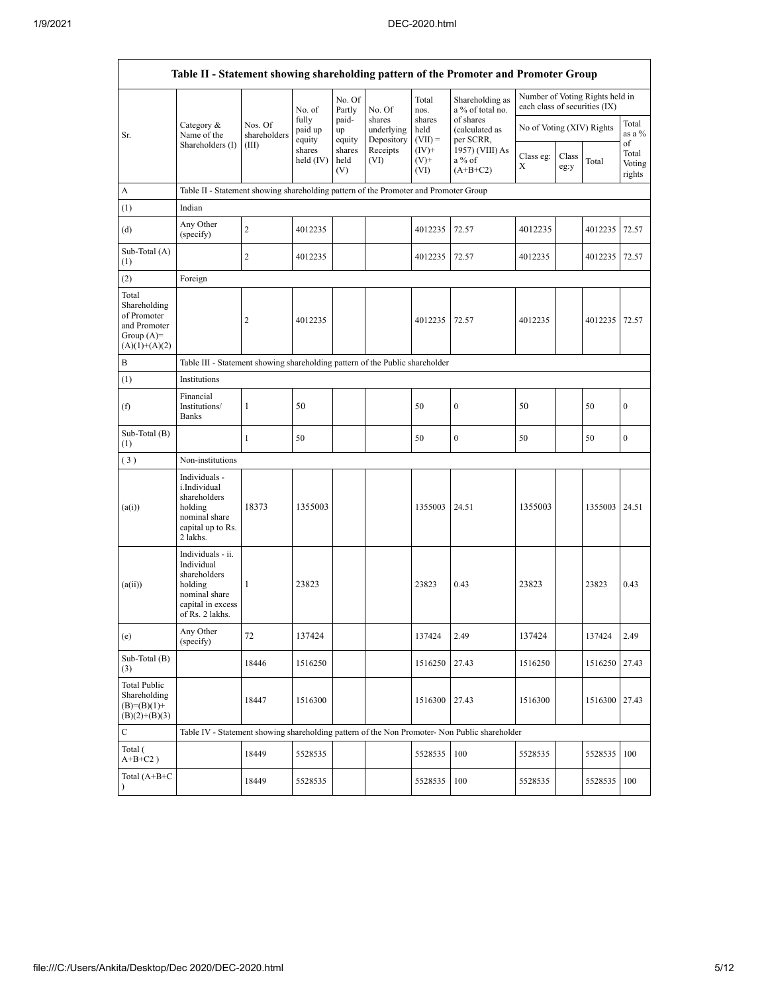|                                                                                         |                                                                                                                     |                         |                            |                       |                                    |                             | Table II - Statement showing shareholding pattern of the Promoter and Promoter Group          |                               |               |                                 |                           |
|-----------------------------------------------------------------------------------------|---------------------------------------------------------------------------------------------------------------------|-------------------------|----------------------------|-----------------------|------------------------------------|-----------------------------|-----------------------------------------------------------------------------------------------|-------------------------------|---------------|---------------------------------|---------------------------|
|                                                                                         |                                                                                                                     |                         | No. of                     | No. Of<br>Partly      | No. Of                             | Total<br>nos.               | Shareholding as<br>a % of total no.                                                           | each class of securities (IX) |               | Number of Voting Rights held in |                           |
| Sr.                                                                                     | Category &<br>Name of the                                                                                           | Nos. Of<br>shareholders | fully<br>paid up<br>equity | paid-<br>up<br>equity | shares<br>underlying<br>Depository | shares<br>held<br>$(VII) =$ | of shares<br>(calculated as<br>per SCRR,                                                      | No of Voting (XIV) Rights     |               |                                 | Total<br>as a %<br>of     |
|                                                                                         | Shareholders (I)                                                                                                    | (III)                   | shares<br>$held$ (IV)      | shares<br>held<br>(V) | Receipts<br>(VI)                   | $(IV)+$<br>$(V)^+$<br>(VI)  | 1957) (VIII) As<br>a % of<br>$(A+B+C2)$                                                       | Class eg:<br>Х                | Class<br>eg:y | Total                           | Total<br>Voting<br>rights |
| A                                                                                       | Table II - Statement showing shareholding pattern of the Promoter and Promoter Group                                |                         |                            |                       |                                    |                             |                                                                                               |                               |               |                                 |                           |
| (1)                                                                                     | Indian                                                                                                              |                         |                            |                       |                                    |                             |                                                                                               |                               |               |                                 |                           |
| (d)                                                                                     | Any Other<br>(specify)                                                                                              | $\overline{c}$          | 4012235                    |                       |                                    | 4012235                     | 72.57                                                                                         | 4012235                       |               | 4012235                         | 72.57                     |
| Sub-Total (A)<br>(1)                                                                    |                                                                                                                     | $\overline{c}$          | 4012235                    |                       |                                    | 4012235                     | 72.57                                                                                         | 4012235                       |               | 4012235                         | 72.57                     |
| (2)                                                                                     | Foreign                                                                                                             |                         |                            |                       |                                    |                             |                                                                                               |                               |               |                                 |                           |
| Total<br>Shareholding<br>of Promoter<br>and Promoter<br>Group $(A)=$<br>$(A)(1)+(A)(2)$ |                                                                                                                     | $\overline{2}$          | 4012235                    |                       |                                    | 4012235                     | 72.57                                                                                         | 4012235                       |               | 4012235                         | 72.57                     |
| B                                                                                       | Table III - Statement showing shareholding pattern of the Public shareholder                                        |                         |                            |                       |                                    |                             |                                                                                               |                               |               |                                 |                           |
| (1)                                                                                     | Institutions                                                                                                        |                         |                            |                       |                                    |                             |                                                                                               |                               |               |                                 |                           |
| (f)                                                                                     | Financial<br>Institutions/<br><b>Banks</b>                                                                          | $\mathbf{1}$            | 50                         |                       |                                    | 50                          | $\boldsymbol{0}$                                                                              | 50                            |               | 50                              | $\boldsymbol{0}$          |
| Sub-Total (B)<br>(1)                                                                    |                                                                                                                     | $\mathbf{1}$            | 50                         |                       |                                    | 50                          | $\boldsymbol{0}$                                                                              | 50                            |               | 50                              | $\boldsymbol{0}$          |
| (3)                                                                                     | Non-institutions                                                                                                    |                         |                            |                       |                                    |                             |                                                                                               |                               |               |                                 |                           |
| (a(i))                                                                                  | Individuals -<br>i.Individual<br>shareholders<br>holding<br>nominal share<br>capital up to Rs.<br>2 lakhs.          | 18373                   | 1355003                    |                       |                                    | 1355003                     | 24.51                                                                                         | 1355003                       |               | 1355003 24.51                   |                           |
| (a(ii))                                                                                 | Individuals - ii.<br>Individual<br>shareholders<br>holding<br>nominal share<br>capital in excess<br>of Rs. 2 lakhs. | 1                       | 23823                      |                       |                                    | 23823                       | 0.43                                                                                          | 23823                         |               | 23823                           | 0.43                      |
| (e)                                                                                     | Any Other<br>(specify)                                                                                              | 72                      | 137424                     |                       |                                    | 137424                      | 2.49                                                                                          | 137424                        |               | 137424                          | 2.49                      |
| Sub-Total (B)<br>(3)                                                                    |                                                                                                                     | 18446                   | 1516250                    |                       |                                    | 1516250                     | 27.43                                                                                         | 1516250                       |               | 1516250 27.43                   |                           |
| <b>Total Public</b><br>Shareholding<br>$(B)= (B)(1) +$<br>$(B)(2)+(B)(3)$               |                                                                                                                     | 18447                   | 1516300                    |                       |                                    | 1516300                     | 27.43                                                                                         | 1516300                       |               | 1516300 27.43                   |                           |
| C                                                                                       |                                                                                                                     |                         |                            |                       |                                    |                             | Table IV - Statement showing shareholding pattern of the Non Promoter- Non Public shareholder |                               |               |                                 |                           |
| Total (<br>$A+B+C2$ )                                                                   |                                                                                                                     | 18449                   | 5528535                    |                       |                                    | 5528535                     | 100                                                                                           | 5528535                       |               | 5528535                         | 100                       |
| Total $(A+B+C)$<br>$\lambda$                                                            |                                                                                                                     | 18449                   | 5528535                    |                       |                                    | 5528535                     | 100                                                                                           | 5528535                       |               | 5528535                         | 100                       |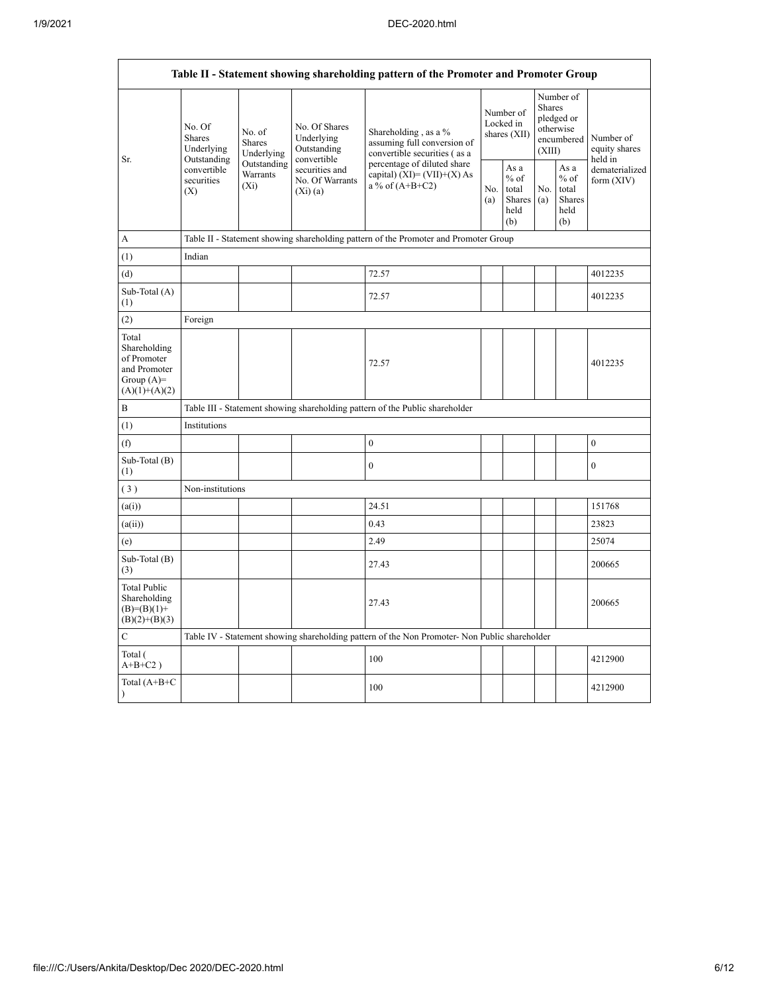$\mathsf{r}$ 

|                                                                                         | Table II - Statement showing shareholding pattern of the Promoter and Promoter Group   |                                    |                                                           |                                                                                               |                                        |                                                  |                                                                               |                                                  |                                       |
|-----------------------------------------------------------------------------------------|----------------------------------------------------------------------------------------|------------------------------------|-----------------------------------------------------------|-----------------------------------------------------------------------------------------------|----------------------------------------|--------------------------------------------------|-------------------------------------------------------------------------------|--------------------------------------------------|---------------------------------------|
|                                                                                         | No. Of<br>No. of<br><b>Shares</b><br>Shares<br>Underlying<br>Underlying<br>Outstanding |                                    | No. Of Shares<br>Underlying<br>Outstanding<br>convertible | Shareholding, as a %<br>assuming full conversion of<br>convertible securities (as a           | Number of<br>Locked in<br>shares (XII) |                                                  | Number of<br><b>Shares</b><br>pledged or<br>otherwise<br>encumbered<br>(XIII) |                                                  | Number of<br>equity shares<br>held in |
| Sr.                                                                                     | convertible<br>securities<br>(X)                                                       | Outstanding<br>Warrants<br>$(X_i)$ | securities and<br>No. Of Warrants<br>$(X_i)(a)$           | percentage of diluted share<br>capital) $(XI) = (VII)+(X) As$<br>a % of $(A+B+C2)$            | No.<br>(a)                             | As a<br>$%$ of<br>total<br>Shares<br>held<br>(b) | No.<br>(a)                                                                    | As a<br>$%$ of<br>total<br>Shares<br>held<br>(b) | dematerialized<br>form $(XIV)$        |
| А                                                                                       |                                                                                        |                                    |                                                           | Table II - Statement showing shareholding pattern of the Promoter and Promoter Group          |                                        |                                                  |                                                                               |                                                  |                                       |
| (1)                                                                                     | Indian                                                                                 |                                    |                                                           |                                                                                               |                                        |                                                  |                                                                               |                                                  |                                       |
| (d)                                                                                     |                                                                                        |                                    |                                                           | 72.57                                                                                         |                                        |                                                  |                                                                               |                                                  | 4012235                               |
| Sub-Total (A)<br>(1)                                                                    |                                                                                        |                                    |                                                           | 72.57                                                                                         |                                        |                                                  |                                                                               |                                                  | 4012235                               |
| (2)                                                                                     | Foreign                                                                                |                                    |                                                           |                                                                                               |                                        |                                                  |                                                                               |                                                  |                                       |
| Total<br>Shareholding<br>of Promoter<br>and Promoter<br>Group $(A)=$<br>$(A)(1)+(A)(2)$ |                                                                                        |                                    |                                                           | 72.57                                                                                         |                                        |                                                  |                                                                               |                                                  | 4012235                               |
| B                                                                                       |                                                                                        |                                    |                                                           | Table III - Statement showing shareholding pattern of the Public shareholder                  |                                        |                                                  |                                                                               |                                                  |                                       |
| (1)                                                                                     | Institutions                                                                           |                                    |                                                           |                                                                                               |                                        |                                                  |                                                                               |                                                  |                                       |
| (f)                                                                                     |                                                                                        |                                    |                                                           | $\boldsymbol{0}$                                                                              |                                        |                                                  |                                                                               |                                                  | $\boldsymbol{0}$                      |
| Sub-Total (B)<br>(1)                                                                    |                                                                                        |                                    |                                                           | $\mathbf{0}$                                                                                  |                                        |                                                  |                                                                               |                                                  | $\overline{0}$                        |
| (3)                                                                                     | Non-institutions                                                                       |                                    |                                                           |                                                                                               |                                        |                                                  |                                                                               |                                                  |                                       |
| (a(i))                                                                                  |                                                                                        |                                    |                                                           | 24.51                                                                                         |                                        |                                                  |                                                                               |                                                  | 151768                                |
| (a(ii))                                                                                 |                                                                                        |                                    |                                                           | 0.43                                                                                          |                                        |                                                  |                                                                               |                                                  | 23823                                 |
| (e)                                                                                     |                                                                                        |                                    |                                                           | 2.49                                                                                          |                                        |                                                  |                                                                               |                                                  | 25074                                 |
| Sub-Total (B)<br>(3)                                                                    |                                                                                        |                                    |                                                           | 27.43                                                                                         |                                        |                                                  |                                                                               |                                                  | 200665                                |
| <b>Total Public</b><br>Shareholding<br>$(B)=(B)(1)+$<br>$(B)(2)+(B)(3)$                 |                                                                                        |                                    |                                                           | 27.43                                                                                         |                                        |                                                  |                                                                               |                                                  | 200665                                |
| C                                                                                       |                                                                                        |                                    |                                                           | Table IV - Statement showing shareholding pattern of the Non Promoter- Non Public shareholder |                                        |                                                  |                                                                               |                                                  |                                       |
| Total (<br>$A+B+C2$ )                                                                   |                                                                                        |                                    |                                                           | 100                                                                                           |                                        |                                                  |                                                                               |                                                  | 4212900                               |
| Total (A+B+C<br>$\lambda$                                                               |                                                                                        |                                    |                                                           | 100                                                                                           |                                        |                                                  |                                                                               |                                                  | 4212900                               |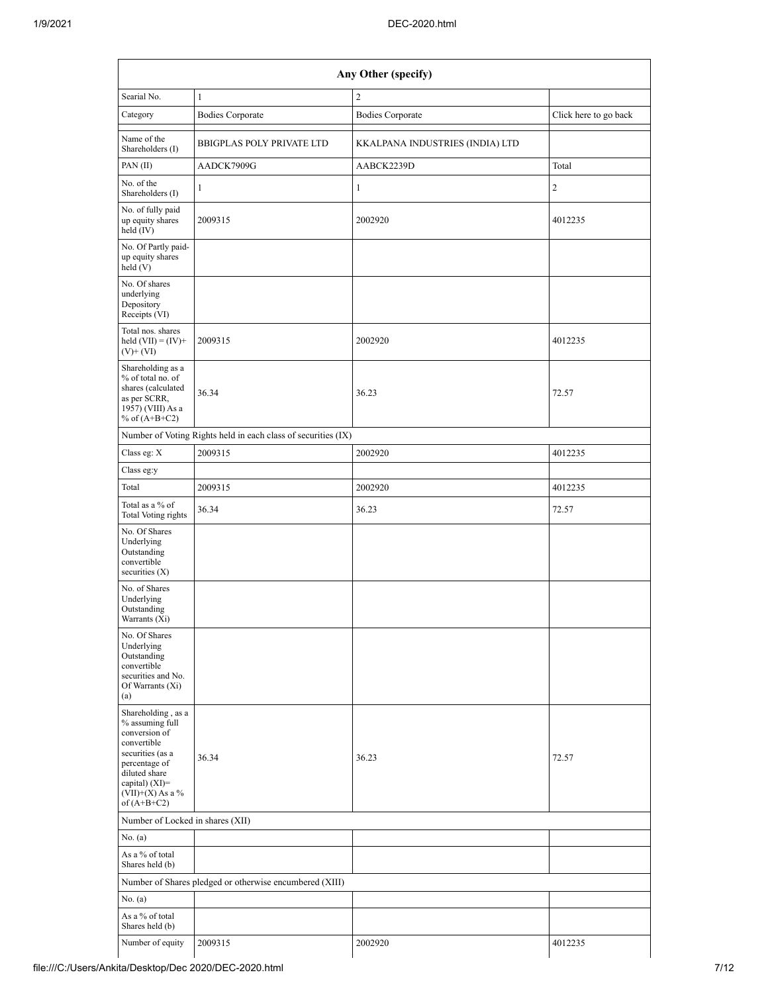|                                                                                                                                                                                         | Any Other (specify)                                           |                                 |                       |  |  |  |  |  |
|-----------------------------------------------------------------------------------------------------------------------------------------------------------------------------------------|---------------------------------------------------------------|---------------------------------|-----------------------|--|--|--|--|--|
| Searial No.                                                                                                                                                                             | $\mathbf{1}$                                                  | $\overline{c}$                  |                       |  |  |  |  |  |
| Category                                                                                                                                                                                | <b>Bodies Corporate</b>                                       | <b>Bodies Corporate</b>         | Click here to go back |  |  |  |  |  |
| Name of the<br>Shareholders (I)                                                                                                                                                         | <b>BBIGPLAS POLY PRIVATE LTD</b>                              | KKALPANA INDUSTRIES (INDIA) LTD |                       |  |  |  |  |  |
| PAN (II)                                                                                                                                                                                | AADCK7909G                                                    | AABCK2239D                      | Total                 |  |  |  |  |  |
| No. of the<br>Shareholders (I)                                                                                                                                                          | 1                                                             | 1                               | $\mathfrak{2}$        |  |  |  |  |  |
| No. of fully paid<br>up equity shares<br>2009315<br>held $(IV)$                                                                                                                         |                                                               | 2002920                         | 4012235               |  |  |  |  |  |
| No. Of Partly paid-<br>up equity shares<br>$\text{held}$ (V)                                                                                                                            |                                                               |                                 |                       |  |  |  |  |  |
| No. Of shares<br>underlying<br>Depository<br>Receipts (VI)                                                                                                                              |                                                               |                                 |                       |  |  |  |  |  |
| Total nos. shares<br>held $(VII) = (IV) +$<br>$(V)$ + $(VI)$                                                                                                                            | 2009315                                                       | 2002920                         | 4012235               |  |  |  |  |  |
| Shareholding as a<br>% of total no. of<br>shares (calculated<br>as per SCRR,<br>1957) (VIII) As a<br>% of $(A+B+C2)$                                                                    | 36.34                                                         | 36.23                           | 72.57                 |  |  |  |  |  |
|                                                                                                                                                                                         | Number of Voting Rights held in each class of securities (IX) |                                 |                       |  |  |  |  |  |
| Class eg: X                                                                                                                                                                             | 2009315                                                       | 2002920                         | 4012235               |  |  |  |  |  |
| Class eg:y                                                                                                                                                                              |                                                               |                                 |                       |  |  |  |  |  |
| Total                                                                                                                                                                                   | 2009315                                                       | 2002920                         | 4012235               |  |  |  |  |  |
| Total as a % of<br>Total Voting rights                                                                                                                                                  | 36.34                                                         | 36.23                           | 72.57                 |  |  |  |  |  |
| No. Of Shares<br>Underlying<br>Outstanding<br>convertible<br>securities $(X)$                                                                                                           |                                                               |                                 |                       |  |  |  |  |  |
| No. of Shares<br>Underlying<br>Outstanding<br>Warrants $(X_i)$                                                                                                                          |                                                               |                                 |                       |  |  |  |  |  |
| No. Of Shares<br>Underlying<br>Outstanding<br>convertible<br>securities and No.<br>Of Warrants (Xi)<br>(a)                                                                              |                                                               |                                 |                       |  |  |  |  |  |
| Shareholding, as a<br>% assuming full<br>conversion of<br>convertible<br>securities (as a<br>percentage of<br>diluted share<br>capital) $(XI)$ =<br>$(VII)+(X)$ As a %<br>of $(A+B+C2)$ | 36.34                                                         | 36.23                           | 72.57                 |  |  |  |  |  |
| Number of Locked in shares (XII)                                                                                                                                                        |                                                               |                                 |                       |  |  |  |  |  |
| No. (a)                                                                                                                                                                                 |                                                               |                                 |                       |  |  |  |  |  |
| As a % of total<br>Shares held (b)                                                                                                                                                      |                                                               |                                 |                       |  |  |  |  |  |
|                                                                                                                                                                                         | Number of Shares pledged or otherwise encumbered (XIII)       |                                 |                       |  |  |  |  |  |
| No. (a)                                                                                                                                                                                 |                                                               |                                 |                       |  |  |  |  |  |
| As a % of total<br>Shares held (b)                                                                                                                                                      |                                                               |                                 |                       |  |  |  |  |  |
| Number of equity                                                                                                                                                                        | 2009315                                                       | 2002920                         | 4012235               |  |  |  |  |  |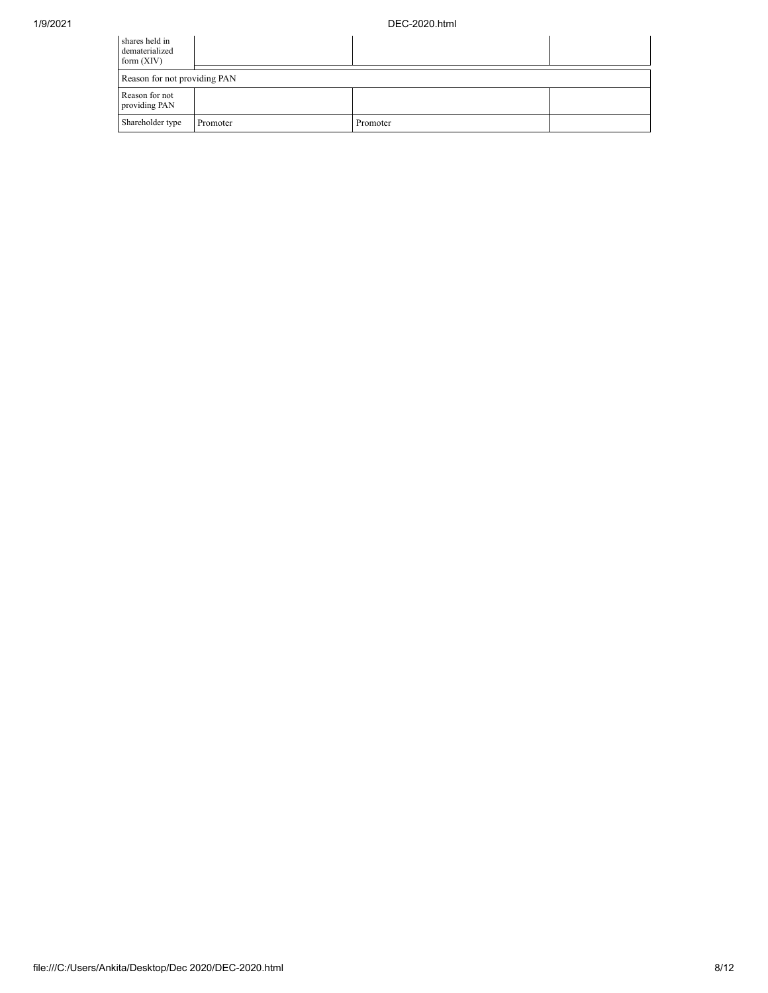| shares held in<br>dematerialized<br>form $(XIV)$ |          |          |  |
|--------------------------------------------------|----------|----------|--|
| Reason for not providing PAN                     |          |          |  |
| Reason for not<br>providing PAN                  |          |          |  |
| Shareholder type                                 | Promoter | Promoter |  |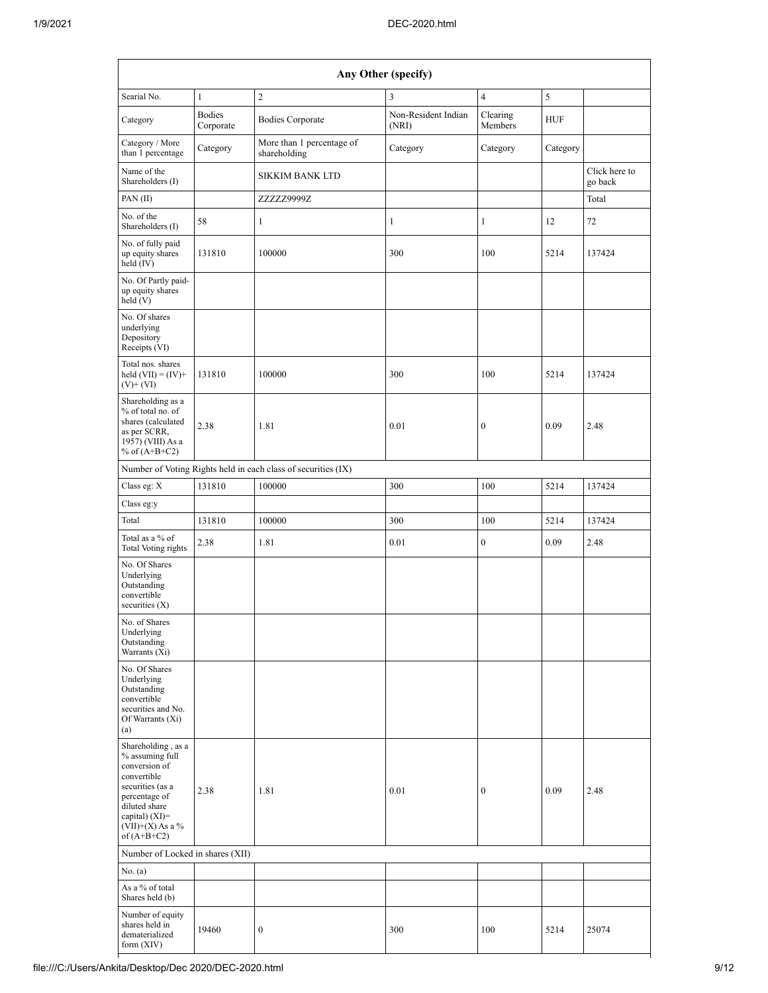|                                                                                                                                                                                                                 | Any Other (specify)        |                                                               |                              |                     |            |                          |  |  |
|-----------------------------------------------------------------------------------------------------------------------------------------------------------------------------------------------------------------|----------------------------|---------------------------------------------------------------|------------------------------|---------------------|------------|--------------------------|--|--|
| Searial No.                                                                                                                                                                                                     | $\mathbf{1}$               | $\overline{2}$                                                | 3                            | $\overline{4}$      | 5          |                          |  |  |
| Category                                                                                                                                                                                                        | <b>Bodies</b><br>Corporate | <b>Bodies Corporate</b>                                       | Non-Resident Indian<br>(NRI) | Clearing<br>Members | <b>HUF</b> |                          |  |  |
| Category / More<br>than 1 percentage                                                                                                                                                                            | Category                   | More than 1 percentage of<br>shareholding                     | Category                     | Category            | Category   |                          |  |  |
| Name of the<br>Shareholders (I)                                                                                                                                                                                 |                            | <b>SIKKIM BANK LTD</b>                                        |                              |                     |            | Click here to<br>go back |  |  |
| PAN(II)                                                                                                                                                                                                         |                            | ZZZZZ9999Z                                                    |                              |                     |            | Total                    |  |  |
| No. of the<br>Shareholders (I)                                                                                                                                                                                  | 58                         | $\mathbf{1}$                                                  | $\mathbf{1}$                 | $\mathbf{1}$        | 12         | 72                       |  |  |
| No. of fully paid<br>up equity shares<br>held $(IV)$                                                                                                                                                            | 131810                     | 100000                                                        | 300                          | 100                 | 5214       | 137424                   |  |  |
| No. Of Partly paid-<br>up equity shares<br>held (V)                                                                                                                                                             |                            |                                                               |                              |                     |            |                          |  |  |
| No. Of shares<br>underlying<br>Depository<br>Receipts (VI)                                                                                                                                                      |                            |                                                               |                              |                     |            |                          |  |  |
| Total nos. shares<br>held $(VII) = (IV) +$<br>$(V)$ + $(VI)$                                                                                                                                                    | 131810                     | 100000                                                        | 300                          | 100                 | 5214       | 137424                   |  |  |
| Shareholding as a<br>% of total no. of<br>shares (calculated<br>as per SCRR,<br>1957) (VIII) As a<br>% of $(A+B+C2)$                                                                                            | 2.38                       | 1.81                                                          | 0.01                         | $\boldsymbol{0}$    | 0.09       | 2.48                     |  |  |
|                                                                                                                                                                                                                 |                            | Number of Voting Rights held in each class of securities (IX) |                              |                     |            |                          |  |  |
| Class eg: X                                                                                                                                                                                                     | 131810                     | 100000                                                        | 300                          | 100                 | 5214       | 137424                   |  |  |
| Class eg:y                                                                                                                                                                                                      |                            |                                                               |                              |                     |            |                          |  |  |
| Total                                                                                                                                                                                                           | 131810                     | 100000                                                        | 300                          | 100                 | 5214       | 137424                   |  |  |
| Total as a % of<br><b>Total Voting rights</b>                                                                                                                                                                   | 2.38                       | 1.81                                                          | 0.01                         | $\boldsymbol{0}$    | 0.09       | 2.48                     |  |  |
| No. Of Shares<br>Underlying<br>Outstanding<br>convertible<br>securities $(X)$                                                                                                                                   |                            |                                                               |                              |                     |            |                          |  |  |
| No. of Shares<br>Underlying<br>Outstanding<br>Warrants (Xi)                                                                                                                                                     |                            |                                                               |                              |                     |            |                          |  |  |
| No. Of Shares<br>Underlying<br>Outstanding<br>convertible<br>securities and No.<br>Of Warrants (Xi)<br>(a)                                                                                                      |                            |                                                               |                              |                     |            |                          |  |  |
| Shareholding, as a<br>% assuming full<br>conversion of<br>convertible<br>securities (as a<br>percentage of<br>diluted share<br>capital) $(XI)=$<br>$(\bar{\operatorname{VII}})$ +(X) As a $\%$<br>of $(A+B+C2)$ | 2.38                       | 1.81                                                          | 0.01                         | $\boldsymbol{0}$    | 0.09       | 2.48                     |  |  |
| Number of Locked in shares (XII)                                                                                                                                                                                |                            |                                                               |                              |                     |            |                          |  |  |
| No. (a)                                                                                                                                                                                                         |                            |                                                               |                              |                     |            |                          |  |  |
| As a % of total<br>Shares held (b)                                                                                                                                                                              |                            |                                                               |                              |                     |            |                          |  |  |
| Number of equity<br>shares held in<br>dematerialized<br>form $(XIV)$                                                                                                                                            | 19460                      | $\boldsymbol{0}$                                              | 300                          | 100                 | 5214       | 25074                    |  |  |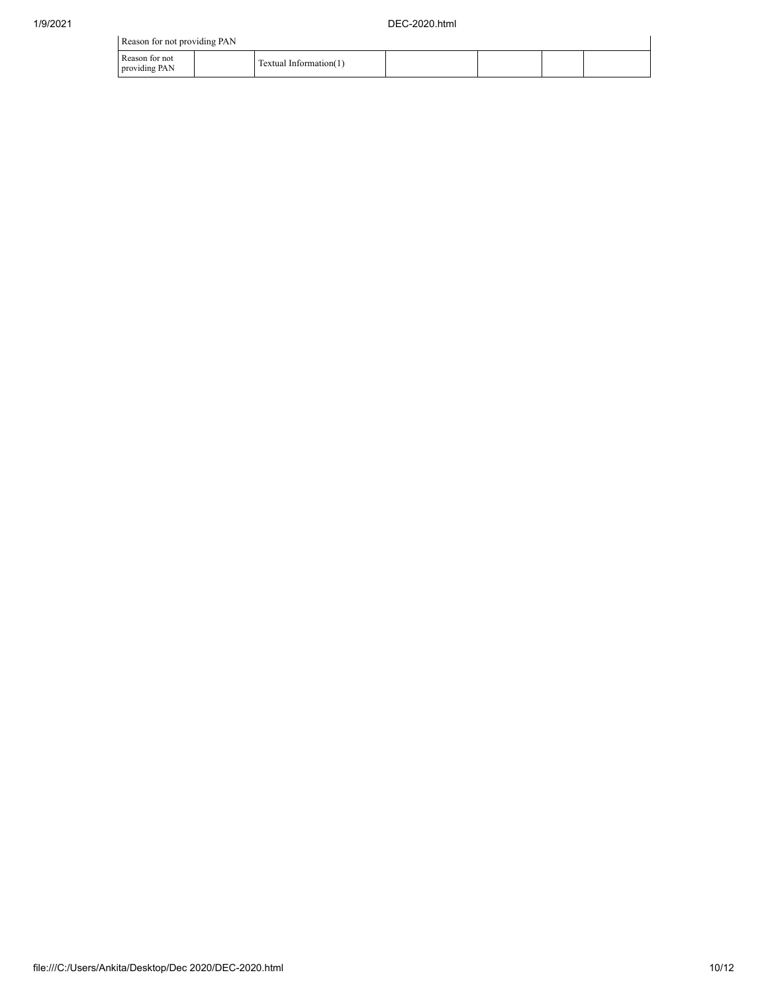| Reason for not providing PAN    |                        |  |  |
|---------------------------------|------------------------|--|--|
| Reason for not<br>providing PAN | Textual Information(1) |  |  |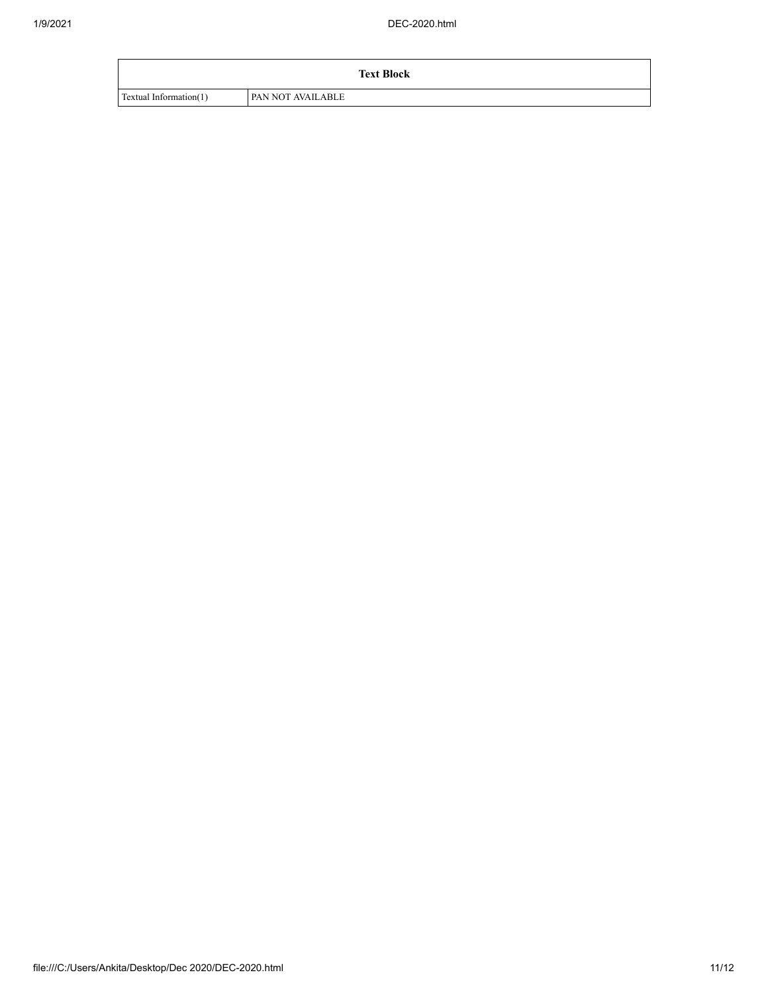|                        | <b>Text Block</b> |
|------------------------|-------------------|
| Textual Information(1) | PAN NOT AVAILABLE |